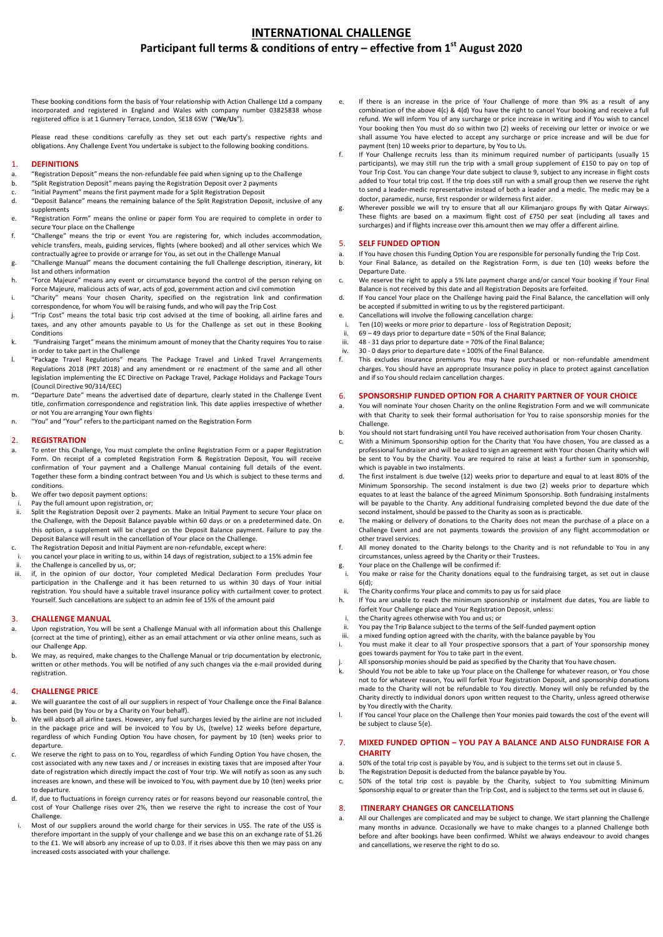# **INTERNATIONAL CHALLENGE Participant full terms & conditions of entry – effective from 1 st August 2020**

These booking conditions form the basis of Your relationship with Action Challenge Ltd a company incorporated and registered in England and Wales with company number 03825838 whose registered office is at 1 Gunnery Terrace, London, SE18 6SW ("**We**/**Us**").

Please read these conditions carefully as they set out each party's respective rights and obligations. Any Challenge Event You undertake is subject to the following booking conditions.

## 1. **DEFINITIONS**

- a. "Registration Deposit" means the non-refundable fee paid when signing up to the Challenge
- b. "Split Registration Deposit" means paying the Registration Deposit over 2 payments
- c. "Initial Payment" means the first payment made for a Split Registration Deposit
- d. "Deposit Balance" means the remaining balance of the Split Registration Deposit, inclusive of any supplements
- e. "Registration Form" means the online or paper form You are required to complete in order to secure Your place on the Challenge
- f. "Challenge" means the trip or event You are registering for, which includes accommodation, vehicle transfers, meals, guiding services, flights (where booked) and all other services which We contractually agree to provide or arrange for You, as set out in the Challenge Manual
- g. "Challenge Manual" means the document containing the full Challenge description, itinerary, kit list and others information
- h. "Force Majeure" means any event or circumstance beyond the control of the person relying on Force Majeure, malicious acts of war, acts of god, government action and civil commotion
- i. "Charity" means Your chosen Charity, specified on the registration link and confirmation correspondence, for whom You will be raising funds, and who will pay the Trip Cost
- j. "Trip Cost" means the total basic trip cost advised at the time of booking, all airline fares and taxes, and any other amounts payable to Us for the Challenge as set out in these Booking Conditions
- k. "Fundraising Target" means the minimum amount of money that the Charity requires You to raise in order to take part in the Challenge
- l. "Package Travel Regulations" means The Package Travel and Linked Travel Arrangements Regulations 2018 (PRT 2018) and any amendment or re enactment of the same and all other legislation implementing the EC Directive on Package Travel, Package Holidays and Package Tours (Council Directive 90/314/EEC)
- m. "Departure Date" means the advertised date of departure, clearly stated in the Challenge Event title, confirmation correspondence and registration link. This date applies irrespective of whether or not You are arranging Your own flights
- n. "You" and "Your" refers to the participant named on the Registration Form

### 2. **REGISTRATION**

- a. To enter this Challenge, You must complete the online Registration Form or a paper Registration Form. On receipt of a completed Registration Form & Registration Deposit, You will receive confirmation of Your payment and a Challenge Manual containing full details of the event. Together these form a binding contract between You and Us which is subject to these terms and conditions.
- b. We offer two deposit payment options:
- i. Pay the full amount upon registration, or;<br>ii Solit the Registration Denosit over 2 navr
- Split the Registration Deposit over 2 payments. Make an Initial Payment to secure Your place on the Challenge, with the Deposit Balance payable within 60 days or on a predetermined date. On this option, a supplement will be charged on the Deposit Balance payment. Failure to pay the Deposit Balance will result in the cancellation of Your place on the Challenge.
- c. The Registration Deposit and Initial Payment are non-refundable, except where:
- you cancel your place in writing to us, within 14 days of registration, subject to a 15% admin fee the Challenge is cancelled by us, or;
- iii. if, in the opinion of our doctor, Your completed Medical Declaration Form precludes Your participation in the Challenge and it has been returned to us within 30 days of Your initial registration. You should have a suitable travel insurance policy with curtailment cover to protect Yourself. Such cancellations are subject to an admin fee of 15% of the amount paid

#### 3. **CHALLENGE MANUAL**

- a. Upon registration, You will be sent a Challenge Manual with all information about this Challenge (correct at the time of printing), either as an email attachment or via other online means, such as our Challenge App.
- b. We may, as required, make changes to the Challenge Manual or trip documentation by electronic, written or other methods. You will be notified of any such changes via the e-mail provided during registration.

### 4. **CHALLENGE PRICE**

- a. We will guarantee the cost of all our suppliers in respect of Your Challenge once the Final Balance has been paid (by You or by a Charity on Your behalf).
- b. We will absorb all airline taxes. However, any fuel surcharges levied by the airline are not included in the package price and will be invoiced to You by Us, (twelve) 12 weeks before departure, regardless of which Funding Option You have chosen, for payment by 10 (ten) weeks prior to departure.
- c. We reserve the right to pass on to You, regardless of which Funding Option You have chosen, the cost associated with any new taxes and / or increases in existing taxes that are imposed after Your date of registration which directly impact the cost of Your trip. We will notify as soon as any such increases are known, and these will be invoiced to You, with payment due by 10 (ten) weeks prior to departure.
- d. If, due to fluctuations in foreign currency rates or for reasons beyond our reasonable control, the cost of Your Challenge rises over 2%, then we reserve the right to increase the cost of Your Challenge.
- i. Most of our suppliers around the world charge for their services in US\$. The rate of the US\$ is therefore important in the supply of your challenge and we base this on an exchange rate of \$1.26 to the £1. We will absorb any increase of up to 0.03. If it rises above this then we may pass on any increased costs associated with your challenge.
- e. If there is an increase in the price of Your Challenge of more than 9% as a result of any combination of the above 4(c) & 4(d) You have the right to cancel Your booking and receive a full refund. We will inform You of any surcharge or price increase in writing and if You wish to cancel Your booking then You must do so within two (2) weeks of receiving our letter or invoice or we shall assume You have elected to accept any surcharge or price increase and will be due for payment (ten) 10 weeks prior to departure, by You to Us.
- f. If Your Challenge recruits less than its minimum required number of participants (usually 15 participants), we may still run the trip with a small group supplement of £150 to pay on top of Your Trip Cost. You can change Your date subject to clause 9, subject to any increase in flight costs added to Your total trip cost. If the trip does still run with a small group then we reserve the right to send a leader-medic representative instead of both a leader and a medic. The medic may be a doctor, paramedic, nurse, first responder or wilderness first aider.
- g. Wherever possible we will try to ensure that all our Kilimanjaro groups fly with Qatar Airways. These flights are based on a maximum flight cost of £750 per seat (including all taxes and surcharges) and if flights increase over this amount then we may offer a different airline.

## 5. **SELF FUNDED OPTION**

- a. If You have chosen this Funding Option You are responsible for personally funding the Trip Cost.<br>b. Your Final Balance, as detailed on the Registration Form, is due ten (10) weeks before t
- Your Final Balance, as detailed on the Registration Form, is due ten (10) weeks before the Departure Date.
- c. We reserve the right to apply a 5% late payment charge and/or cancel Your booking if Your Final Balance is not received by this date and all Registration Deposits are forfeited.
- d. If You cancel Your place on the Challenge having paid the Final Balance, the cancellation will only be accepted if submitted in writing to us by the registered participant.
- e. Cancellations will involve the following cancellation charge:
- i. Ten (10) weeks or more prior to departure loss of Registration Deposit;<br>ii. 69 49 days prior to departure date = 50% of the Final Balance:
- $69 49$  days prior to departure date = 50% of the Final Balance;
- iii. 48 31 days prior to departure date = 70% of the Final Balance; iv. 30 - 0 days prior to departure date = 100% of the Final Balance.
- f. This excludes insurance premiums You may have purchased or non-refundable amendment charges. You should have an appropriate Insurance policy in place to protect against cancellation and if so You should reclaim cancellation charges.

## 6. **SPONSORSHIP FUNDED OPTION FOR A CHARITY PARTNER OF YOUR CHOICE**

- a. You will nominate Your chosen Charity on the online Registration Form and we will communicate with that Charity to seek their formal authorisation for You to raise sponsorship monies for the **Challenge**
- b. You should not start fundraising until You have received authorisation from Your chosen Charity.
- c. With a Minimum Sponsorship option for the Charity that You have chosen, You are classed as a professional fundraiser and will be asked to sign an agreement with Your chosen Charity which will be sent to You by the Charity. You are required to raise at least a further sum in sponsorship, which is payable in two instalments.
- d. The first instalment is due twelve (12) weeks prior to departure and equal to at least 80% of the Minimum Sponsorship. The second instalment is due two (2) weeks prior to departure which equates to at least the balance of the agreed Minimum Sponsorship. Both fundraising instalments will be payable to the Charity. Any additional fundraising completed beyond the due date of the second instalment, should be passed to the Charity as soon as is practicable.
- The making or delivery of donations to the Charity does not mean the purchase of a place on a Challenge Event and are not payments towards the provision of any flight accommodation or other travel services.
- f. All money donated to the Charity belongs to the Charity and is not refundable to You in any circumstances, unless agreed by the Charity or their Trustees. g. Your place on the Challenge will be confirmed if:
- i. You make or raise for the Charity donations equal to the fundraising target, as set out in clause 6(d);
- ii. The Charity confirms Your place and commits to pay us for said place<br>h. If You are unable to reach the minimum sponsorship or instalment
- If You are unable to reach the minimum sponsorship or instalment due dates, You are liable to forfeit Your Challenge place and Your Registration Deposit, unless:
- i. the Charity agrees otherwise with You and us; or
- You pay the Trip Balance subject to the terms of the Self-funded payment option iii. a mixed funding option agreed with the charity, with the balance payable by You
- i. You must make it clear to all Your prospective sponsors that a part of Your sponsorship money goes towards payment for You to take part in the event.
- j. All sponsorship monies should be paid as specified by the Charity that You have chosen.
- k. Should You not be able to take up Your place on the Challenge for whatever reason, or You chose not to for whatever reason, You will forfeit Your Registration Deposit, and sponsorship donations made to the Charity will not be refundable to You directly. Money will only be refunded by the Charity directly to individual donors upon written request to the Charity, unless agreed otherwise by You directly with the Charity.
- l. If You cancel Your place on the Challenge then Your monies paid towards the cost of the event will be subject to clause 5(e).

## 7. **MIXED FUNDED OPTION – YOU PAY A BALANCE AND ALSO FUNDRAISE FOR A CHARITY**

- a. 50% of the total trip cost is payable by You, and is subject to the terms set out in clause 5.
- b. The Registration Deposit is deducted from the balance payable by You.
- c. 50% of the total trip cost is payable by the Charity, subject to You submitting Minimum Sponsorship equal to or greater than the Trip Cost, and is subject to the terms set out in clause 6.

## 8. **ITINERARY CHANGES OR CANCELLATIONS**

a. All our Challenges are complicated and may be subject to change. We start planning the Challenge many months in advance. Occasionally we have to make changes to a planned Challenge both before and after bookings have been confirmed. Whilst we always endeavour to avoid changes and cancellations, we reserve the right to do so.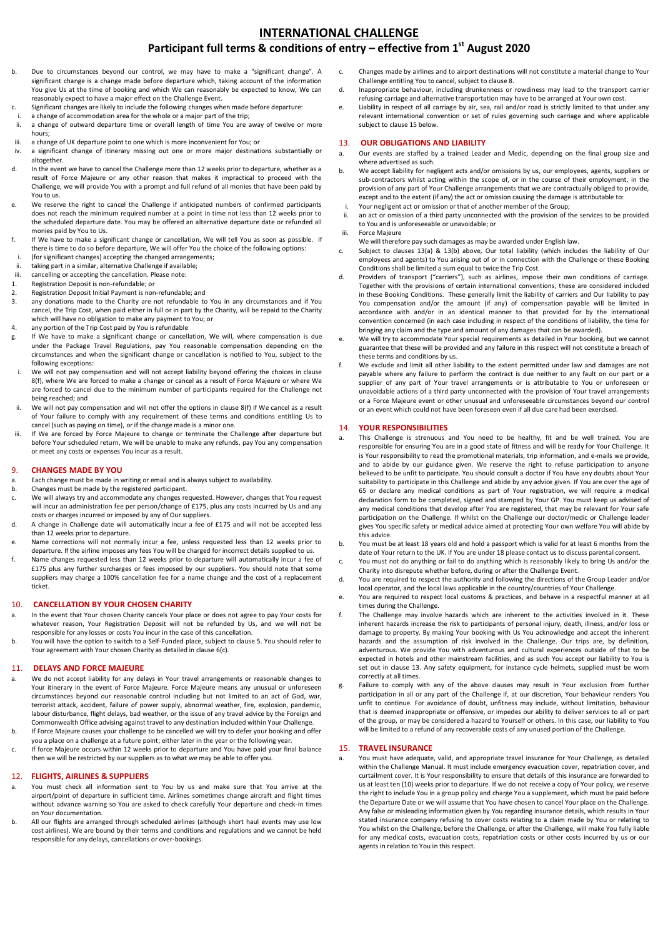# **INTERNATIONAL CHALLENGE Participant full terms & conditions of entry – effective from 1 st August 2020**

- b. Due to circumstances beyond our control, we may have to make a "significant change". A significant change is a change made before departure which, taking account of the information You give Us at the time of booking and which We can reasonably be expected to know, We can reasonably expect to have a major effect on the Challenge Event.
- c. Significant changes are likely to include the following changes when made before departure:
- i. a change of accommodation area for the whole or a major part of the trip;<br> $\ddot{\textbf{i}}$  a change of outward departure time or overall length of time You are a a change of outward departure time or overall length of time You are away of twelve or more hours;
- iii. a change of UK departure point to one which is more inconvenient for You; or
- iv. a significant change of itinerary missing out one or more major destinations substantially or altogether.
- d. In the event we have to cancel the Challenge more than 12 weeks prior to departure, whether as a result of Force Majeure or any other reason that makes it impractical to proceed with the Challenge, we will provide You with a prompt and full refund of all monies that have been paid by You to us.
- e. We reserve the right to cancel the Challenge if anticipated numbers of confirmed participants does not reach the minimum required number at a point in time not less than 12 weeks prior to the scheduled departure date. You may be offered an alternative departure date or refunded all monies paid by You to Us.
- f. If We have to make a significant change or cancellation, We will tell You as soon as possible. If there is time to do so before departure, We will offer You the choice of the following options:
- i. (for significant changes) accepting the changed arrangements;
- ii. taking part in a similar, alternative Challenge if available;<br>iii. cancelling or accepting the cancellation. Please note:
- iii. cancelling or accepting the cancellation. Please note:<br>1. Registration Deposit is non-refundable; or 1. Registration Deposit is non-refundable; or
- 
- 2. Registration Deposit Initial Payment is non-refundable; and<br>3. any donations made to the Charity are not refundable to any donations made to the Charity are not refundable to You in any circumstances and if You cancel, the Trip Cost, when paid either in full or in part by the Charity, will be repaid to the Charity which will have no obligation to make any payment to You; or
- 4. any portion of the Trip Cost paid by You is refundable
- If We have to make a significant change or cancellation, We will, where compensation is due under the Package Travel Regulations, pay You reasonable compensation depending on the circumstances and when the significant change or cancellation is notified to You, subject to the following exceptions:
- We will not pay compensation and will not accept liability beyond offering the choices in clause 8(f), where We are forced to make a change or cancel as a result of Force Majeure or where We are forced to cancel due to the minimum number of participants required for the Challenge not being reached; and
- ii. We will not pay compensation and will not offer the options in clause 8(f) if We cancel as a result of Your failure to comply with any requirement of these terms and conditions entitling Us to cancel (such as paying on time), or if the change made is a minor one.
- If We are forced by Force Majeure to change or terminate the Challenge after departure but before Your scheduled return, We will be unable to make any refunds, pay You any compensation or meet any costs or expenses You incur as a result.

#### 9. **CHANGES MADE BY YOU**

- a. Each change must be made in writing or email and is always subject to availability.
- b. Changes must be made by the registered participant.
- c. We will always try and accommodate any changes requested. However, changes that You request will incur an administration fee per person/change of £175, plus any costs incurred by Us and any costs or charges incurred or imposed by any of Our suppliers.
- d. A change in Challenge date will automatically incur a fee of £175 and will not be accepted less than 12 weeks prior to departure.
- e. Name corrections will not normally incur a fee, unless requested less than 12 weeks prior to departure. If the airline imposes any fees You will be charged for incorrect details supplied to us.
- f. Name changes requested less than 12 weeks prior to departure will automatically incur a fee of £175 plus any further surcharges or fees imposed by our suppliers. You should note that some suppliers may charge a 100% cancellation fee for a name change and the cost of a replacement ticket.

## 10. **CANCELLATION BY YOUR CHOSEN CHARITY**

- In the event that Your chosen Charity cancels Your place or does not agree to pay Your costs for whatever reason, Your Registration Deposit will not be refunded by Us, and we will not be responsible for any losses or costs You incur in the case of this cancellation.
- b. You will have the option to switch to a Self-Funded place, subject to clause 5. You should refer to Your agreement with Your chosen Charity as detailed in clause 6(c).

# 11. **DELAYS AND FORCE MAJEURE**

- a. We do not accept liability for any delays in Your travel arrangements or reasonable changes to Your itinerary in the event of Force Majeure. Force Majeure means any unusual or unforeseen circumstances beyond our reasonable control including but not limited to an act of God, war, terrorist attack, accident, failure of power supply, abnormal weather, fire, explosion, pandemic, labour disturbance, flight delays, bad weather, or the issue of any travel advice by the Foreign and Commonwealth Office advising against travel to any destination included within Your Challenge.
- b. If Force Majeure causes your challenge to be cancelled we will try to defer your booking and offer you a place on a challenge at a future point; either later in the year or the following year.
- c. If force Majeure occurs within 12 weeks prior to departure and You have paid your final balance then we will be restricted by our suppliers as to what we may be able to offer you.

#### 12. **FLIGHTS, AIRLINES & SUPPLIERS**

- a. You must check all information sent to You by us and make sure that You arrive at the airport/point of departure in sufficient time. Airlines sometimes change aircraft and flight times without advance warning so You are asked to check carefully Your departure and check-in times on Your documentation.
- b. All our flights are arranged through scheduled airlines (although short haul events may use low cost airlines). We are bound by their terms and conditions and regulations and we cannot be held responsible for any delays, cancellations or over-bookings.
- c. Changes made by airlines and to airport destinations will not constitute a material change to Your Challenge entitling You to cancel, subject to clause 8.
- d. Inappropriate behaviour, including drunkenness or rowdiness may lead to the transport carrier refusing carriage and alternative transportation may have to be arranged at Your own cost.
- e. Liability in respect of all carriage by air, sea, rail and/or road is strictly limited to that under any relevant international convention or set of rules governing such carriage and where applicable subject to clause 15 below.

## 13. **OUR OBLIGATIONS AND LIABILITY**

- a. Our events are staffed by a trained Leader and Medic, depending on the final group size and where advertised as such.
- b. We accept liability for negligent acts and/or omissions by us, our employees, agents, suppliers or sub-contractors whilst acting within the scope of, or in the course of their employment, in the provision of any part of Your Challenge arrangements that we are contractually obliged to provide, except and to the extent (if any) the act or omission causing the damage is attributable to:
- Your negligent act or omission or that of another member of the Group;
- an act or omission of a third party unconnected with the provision of the services to be provided to You and is unforeseeable or unavoidable; or iii. Force Majeure
- We will therefore pay such damages as may be awarded under English law.
- c. Subject to clauses 13(a) & 13(b) above, Our total liability (which includes the liability of Our employees and agents) to You arising out of or in connection with the Challenge or these Booking Conditions shall be limited a sum equal to twice the Trip Cost.
- d. Providers of transport ("carriers"), such as airlines, impose their own conditions of carriage. Together with the provisions of certain international conventions, these are considered included in these Booking Conditions. These generally limit the liability of carriers and Our liability to pay You compensation and/or the amount (if any) of compensation payable will be limited in accordance with and/or in an identical manner to that provided for by the international convention concerned (in each case including in respect of the conditions of liability, the time for bringing any claim and the type and amount of any damages that can be awarded).
- e. We will try to accommodate Your special requirements as detailed in Your booking, but we cannot guarantee that these will be provided and any failure in this respect will not constitute a breach of these terms and conditions by us.
- f. We exclude and limit all other liability to the extent permitted under law and damages are not payable where any failure to perform the contract is due neither to any fault on our part or a supplier of any part of Your travel arrangements or is attributable to You or unforeseen or unavoidable actions of a third party unconnected with the provision of Your travel arrangements or a Force Majeure event or other unusual and unforeseeable circumstances beyond our control or an event which could not have been foreseen even if all due care had been exercised.

## 14. **YOUR RESPONSIBILITIES**

- a. This Challenge is strenuous and You need to be healthy, fit and be well trained. You are responsible for ensuring You are in a good state of fitness and will be ready for Your Challenge. It is Your responsibility to read the promotional materials, trip information, and e-mails we provide, and to abide by our guidance given. We reserve the right to refuse participation to anyone believed to be unfit to participate. You should consult a doctor if You have any doubts about Your suitability to participate in this Challenge and abide by any advice given. If You are over the age of 65 or declare any medical conditions as part of Your registration, we will require a medical declaration form to be completed, signed and stamped by Your GP. You must keep us advised of any medical conditions that develop after You are registered, that may be relevant for Your safe participation on the Challenge. If whilst on the Challenge our doctor/medic or Challenge leader gives You specific safety or medical advice aimed at protecting Your own welfare You will abide by this advice.
- b. You must be at least 18 years old and hold a passport which is valid for at least 6 months from the date of Your return to the UK. If You are under 18 please contact us to discuss parental consent.
- c. You must not do anything or fail to do anything which is reasonably likely to bring Us and/or the Charity into disrepute whether before, during or after the Challenge Event.
- d. You are required to respect the authority and following the directions of the Group Leader and/or local operator, and the local laws applicable in the country/countries of Your Challenge.
- e. You are required to respect local customs & practices, and behave in a respectful manner at all times during the Challenge.
- f. The Challenge may involve hazards which are inherent to the activities involved in it. These inherent hazards increase the risk to participants of personal injury, death, illness, and/or loss or damage to property. By making Your booking with Us You acknowledge and accept the inherent hazards and the assumption of risk involved in the Challenge. Our trips are, by definition, adventurous. We provide You with adventurous and cultural experiences outside of that to be expected in hotels and other mainstream facilities, and as such You accept our liability to You is set out in clause 13. Any safety equipment, for instance cycle helmets, supplied must be worn correctly at all times.
- g. Failure to comply with any of the above clauses may result in Your exclusion from further participation in all or any part of the Challenge if, at our discretion, Your behaviour renders You unfit to continue. For avoidance of doubt, unfitness may include, without limitation, behaviour that is deemed inappropriate or offensive, or impedes our ability to deliver services to all or part of the group, or may be considered a hazard to Yourself or others. In this case, our liability to You will be limited to a refund of any recoverable costs of any unused portion of the Challenge.

## 15. **TRAVEL INSURANCE**

a. You must have adequate, valid, and appropriate travel insurance for Your Challenge, as detailed within the Challenge Manual. It must include emergency evacuation cover, repatriation cover, and curtailment cover. It is Your responsibility to ensure that details of this insurance are forwarded to us at least ten (10) weeks prior to departure. If we do not receive a copy of Your policy, we reserve the right to include You in a group policy and charge You a supplement, which must be paid before the Departure Date or we will assume that You have chosen to cancel Your place on the Challenge. Any false or misleading information given by You regarding insurance details, which results in Your stated insurance company refusing to cover costs relating to a claim made by You or relating to You whilst on the Challenge, before the Challenge, or after the Challenge, will make You fully liable for any medical costs, evacuation costs, repatriation costs or other costs incurred by us or our agents in relation to You in this respect.